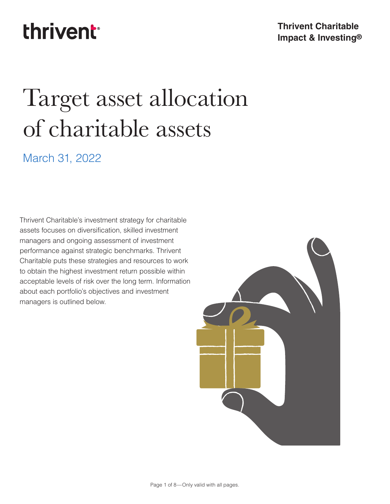## **thrivent**<sup>®</sup>

#### **Thrivent Charitable Impact & Investing®**

# Target asset allocation of charitable assets

## March 31, 2022

Thrivent Charitable's investment strategy for charitable assets focuses on diversification, skilled investment managers and ongoing assessment of investment performance against strategic benchmarks. Thrivent Charitable puts these strategies and resources to work to obtain the highest investment return possible within acceptable levels of risk over the long term. Information about each portfolio's objectives and investment managers is outlined below.

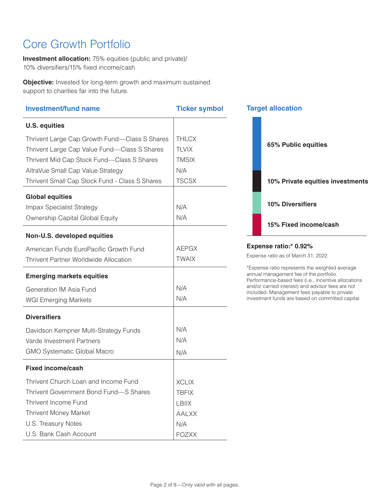## Core Growth Portfolio

**Investment allocation:** 75% equities (public and private)/ 10% diversifiers/15% fixed income/cash

**Objective:** Invested for long-term growth and maximum sustained support to charities far into the future.

| <b>Investment/fund name</b>                    | <b>Ticker symbol</b> | <b>Target allocation</b>                                                                                 |
|------------------------------------------------|----------------------|----------------------------------------------------------------------------------------------------------|
| <b>U.S. equities</b>                           |                      |                                                                                                          |
| Thrivent Large Cap Growth Fund-Class S Shares  | <b>THLCX</b>         |                                                                                                          |
| Thrivent Large Cap Value Fund-Class S Shares   | <b>TLVIX</b>         | 65% Public equities                                                                                      |
| Thrivent Mid Cap Stock Fund-Class S Shares     | <b>TMSIX</b>         |                                                                                                          |
| AltraVue Small Cap Value Strategy              | N/A                  |                                                                                                          |
| Thrivent Small Cap Stock Fund - Class S Shares | <b>TSCSX</b>         | 10% Private equities investments                                                                         |
| <b>Global equities</b>                         |                      |                                                                                                          |
| Impax Specialist Strategy                      | N/A                  | <b>10% Diversifiers</b>                                                                                  |
| Ownership Capital Global Equity                | N/A                  | 15% Fixed income/cash                                                                                    |
| Non-U.S. developed equities                    |                      |                                                                                                          |
| American Funds EuroPacific Growth Fund         | <b>AEPGX</b>         | Expense ratio:* 0.92%                                                                                    |
| <b>Thrivent Partner Worldwide Allocation</b>   | <b>TWAIX</b>         | Expense ratio as of March 31, 2022.                                                                      |
| <b>Emerging markets equities</b>               |                      | *Expense ratio represents the weighted average<br>annual management fee of the portfolio.                |
| Generation IM Asia Fund                        | N/A                  | Performance-based fees (i.e., incentive allocations<br>and/or carried interest) and advisor fees are not |
| <b>WGI Emerging Markets</b>                    | N/A                  | included. Management fees payable to private<br>investment funds are based on committed capital.         |
| <b>Diversifiers</b>                            |                      |                                                                                                          |
| Davidson Kempner Multi-Strategy Funds          | N/A                  |                                                                                                          |
| Varde Investment Partners                      | N/A                  |                                                                                                          |
| <b>GMO Systematic Global Macro</b>             | N/A                  |                                                                                                          |
| <b>Fixed income/cash</b>                       |                      |                                                                                                          |
| Thrivent Church Loan and Income Fund           | <b>XCLIX</b>         |                                                                                                          |
| Thrivent Government Bond Fund-S Shares         | <b>TBFIX</b>         |                                                                                                          |
| Thrivent Income Fund                           | <b>LBIIX</b>         |                                                                                                          |
| <b>Thrivent Money Market</b>                   | <b>AALXX</b>         |                                                                                                          |
| U.S. Treasury Notes                            | N/A                  |                                                                                                          |
| U.S. Bank Cash Account                         | <b>FOZXX</b>         |                                                                                                          |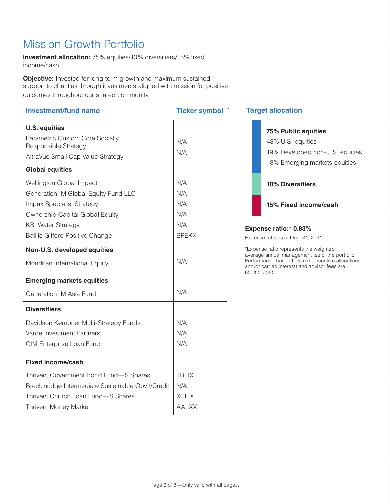## Mission Growth Portfolio

**Investment allocation:** 75% equities/10% diversifiers/15% fixed income/cash

**Objective:** Invested for long-term growth and maximum sustained support to charities through investments aligned with mission for positive outcomes throughout our shared community.

| <b>Investment/fund name</b>                               | <b>Ticker symbol</b> |
|-----------------------------------------------------------|----------------------|
| <b>U.S. equities</b>                                      |                      |
| Parametric Custom Core Socially                           | N/A                  |
| Responsible Strategy<br>AltraVue Small Cap Value Strategy | N/A                  |
|                                                           |                      |
| <b>Global equities</b>                                    |                      |
| Wellington Global Impact                                  | N/A                  |
| Generation IM Global Equity Fund LLC                      | N/A                  |
| Impax Specialist Strategy                                 | N/A                  |
| Ownership Capital Global Equity                           | N/A                  |
| <b>KBI Water Strategy</b>                                 | N/A                  |
| <b>Baillie Gifford Positive Change</b>                    | <b>BPEKX</b>         |
| Non-U.S. developed equities                               |                      |
| Mondrian International Equity                             | N/A                  |
| <b>Emerging markets equities</b>                          |                      |
| Generation IM Asia Fund                                   | N/A                  |
| <b>Diversifiers</b>                                       |                      |
| Davidson Kempner Multi-Strategy Funds                     | N/A                  |
| Varde Investment Partners                                 | N/A                  |
| CIM Enterprise Loan Fund                                  | N/A                  |
| <b>Fixed income/cash</b>                                  |                      |
| Thrivent Government Bond Fund-S Shares                    | <b>TBFIX</b>         |
| Breckinridge Intermediate Sustainable Gov't/Credit        | N/A                  |
| Thrivent Church Loan Fund-S Shares                        | <b>XCLIX</b>         |
| <b>Thrivent Money Market</b>                              | <b>AALXX</b>         |
|                                                           |                      |

#### **Target allocation**

m.

|                              |  | <b>75% Public equities</b>      |  |
|------------------------------|--|---------------------------------|--|
|                              |  | 48% U.S. equities               |  |
|                              |  | 19% Developed non-U.S. equities |  |
|                              |  | 8% Emerging markets equities    |  |
|                              |  |                                 |  |
|                              |  | <b>10% Diversifiers</b>         |  |
|                              |  |                                 |  |
|                              |  | 15% Fixed income/cash           |  |
|                              |  |                                 |  |
| <b>Expense ratio:* 0.83%</b> |  |                                 |  |

Expense ratio as of Dec. 31, 2021.

\*Expense ratio represents the weighted average annual management tee of the portfolio. Performance-based fees (i.e., incentive allocations and/or carried interest) and advisor fees are not included.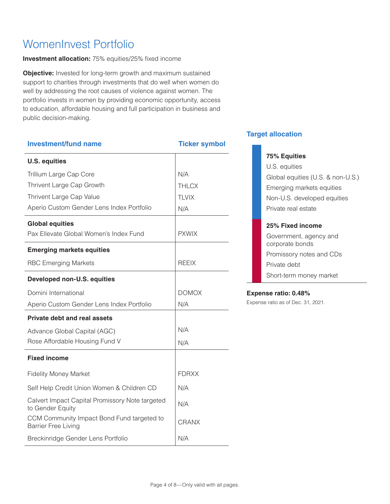## WomenInvest Portfolio

**Investment allocation:** 75% equities/25% fixed income

**Objective:** Invested for long-term growth and maximum sustained support to charities through investments that do well when women do well by addressing the root causes of violence against women. The portfolio invests in women by providing economic opportunity, access to education, affordable housing and full participation in business and public decision-making.

| <b>Investment/fund name</b>                                              | <b>Ticker symbol</b> |
|--------------------------------------------------------------------------|----------------------|
| <b>U.S. equities</b>                                                     |                      |
| Trillium Large Cap Core                                                  | N/A                  |
| Thrivent Large Cap Growth                                                | <b>THLCX</b>         |
| Thrivent Large Cap Value                                                 | <b>TLVIX</b>         |
| Aperio Custom Gender Lens Index Portfolio                                | N/A                  |
| <b>Global equities</b>                                                   |                      |
| Pax Ellevate Global Women's Index Fund                                   | <b>PXWIX</b>         |
| <b>Emerging markets equities</b>                                         |                      |
| <b>RBC Emerging Markets</b>                                              | <b>RFFIX</b>         |
| <b>Developed non-U.S. equities</b>                                       |                      |
| Domini International                                                     | <b>DOMOX</b>         |
| Aperio Custom Gender Lens Index Portfolio                                | N/A                  |
| <b>Private debt and real assets</b>                                      |                      |
| Advance Global Capital (AGC)                                             | N/A                  |
| Rose Affordable Housing Fund V                                           | N/A                  |
| <b>Fixed income</b>                                                      |                      |
| <b>Fidelity Money Market</b>                                             | <b>FDRXX</b>         |
| Self Help Credit Union Women & Children CD                               | N/A                  |
| Calvert Impact Capital Promissory Note targeted<br>to Gender Equity      | N/A                  |
| CCM Community Impact Bond Fund targeted to<br><b>Barrier Free Living</b> | CRANX                |
| Breckinridge Gender Lens Portfolio                                       | N/A                  |
|                                                                          |                      |

#### **Target allocation**

#### **75% Equities**

U.S. equities Global equities (U.S. & non-U.S.) Emerging markets equities Non-U.S. developed equities Private real estate

#### **25% Fixed income**

Government, agency and corporate bonds Promissory notes and CDs Private debt Short-term money market

#### **Expense ratio: 0.48%**

Expense ratio as of Dec. 31, 2021.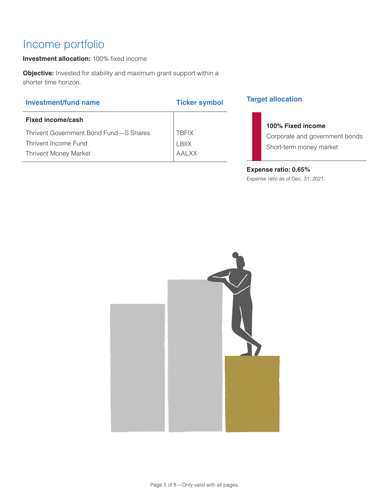## Income portfolio

**Investment allocation:** 100% fixed income

**Objective:** Invested for stability and maximum grant support within a shorter time horizon.

| <b>Investment/fund name</b> |  |
|-----------------------------|--|
|-----------------------------|--|

| Fixed income/cash                      |              |
|----------------------------------------|--------------|
| Thrivent Government Bond Fund—S Shares | <b>TRFIX</b> |
| Thrivent Income Fund                   | LBIIX        |
| <b>Thrivent Money Market</b>           | AALXX        |
|                                        |              |

#### **Target allocation**

### **100% Fixed income**

Corporate and government bonds Short-term money market

#### **Expense ratio: 0.65%**

Expense ratio as of Dec. 31, 2021.



**Ticker symbol**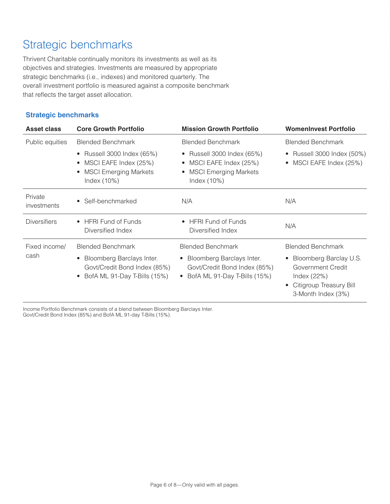## Strategic benchmarks

Thrivent Charitable continually monitors its investments as well as its objectives and strategies. Investments are measured by appropriate strategic benchmarks (i.e., indexes) and monitored quarterly. The overall investment portfolio is measured against a composite benchmark that reflects the target asset allocation.

#### **Strategic benchmarks**

| Asset class            | <b>Core Growth Portfolio</b>                                                                         | <b>Mission Growth Portfolio</b>                                                                   | <b>WomenInvest Portfolio</b>                                                                                  |
|------------------------|------------------------------------------------------------------------------------------------------|---------------------------------------------------------------------------------------------------|---------------------------------------------------------------------------------------------------------------|
| Public equities        | <b>Blended Benchmark</b>                                                                             | <b>Blended Benchmark</b>                                                                          | <b>Blended Benchmark</b>                                                                                      |
|                        | • Russell 3000 Index (65%)<br>MSCI EAFE Index (25%)<br><b>MSCI Emerging Markets</b><br>Index $(10%)$ | • Russell 3000 Index (65%)<br>• MSCI EAFE Index (25%)<br>• MSCI Emerging Markets<br>Index $(10%)$ | • Russell 3000 Index (50%)<br>• MSCI EAFE Index (25%)                                                         |
| Private<br>investments | Self-benchmarked                                                                                     | N/A                                                                                               | N/A                                                                                                           |
| <b>Diversifiers</b>    | <b>HFRI Fund of Funds</b><br>Diversified Index                                                       | • HFRI Fund of Funds<br>Diversified Index                                                         | N/A                                                                                                           |
| Fixed income/          | <b>Blended Benchmark</b>                                                                             | <b>Blended Benchmark</b>                                                                          | <b>Blended Benchmark</b>                                                                                      |
| cash                   | Bloomberg Barclays Inter.<br>Govt/Credit Bond Index (85%)<br>BofA ML 91-Day T-Bills (15%)            | • Bloomberg Barclays Inter.<br>Govt/Credit Bond Index (85%)<br>• BofA ML 91-Day T-Bills (15%)     | Bloomberg Barclay U.S.<br>Government Credit<br>Index $(22%)$<br>Citigroup Treasury Bill<br>3-Month Index (3%) |

Income Portfolio Benchmark consists of a blend between Bloomberg Barclays Inter. Govt/Credit Bond Index (85%) and BofA ML 91-day T-Bills (15%).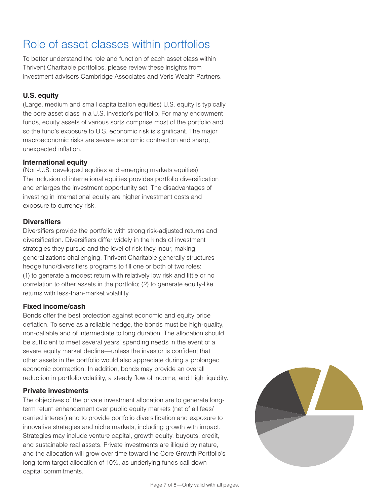## Role of asset classes within portfolios

To better understand the role and function of each asset class within Thrivent Charitable portfolios, please review these insights from investment advisors Cambridge Associates and Veris Wealth Partners.

#### **U.S. equity**

(Large, medium and small capitalization equities) U.S. equity is typically the core asset class in a U.S. investor's portfolio. For many endowment funds, equity assets of various sorts comprise most of the portfolio and so the fund's exposure to U.S. economic risk is significant. The major macroeconomic risks are severe economic contraction and sharp, unexpected inflation.

#### **International equity**

(Non-U.S. developed equities and emerging markets equities) The inclusion of international equities provides portfolio diversification and enlarges the investment opportunity set. The disadvantages of investing in international equity are higher investment costs and exposure to currency risk.

#### **Diversifiers**

Diversifiers provide the portfolio with strong risk-adjusted returns and diversification. Diversifiers differ widely in the kinds of investment strategies they pursue and the level of risk they incur, making generalizations challenging. Thrivent Charitable generally structures hedge fund/diversifiers programs to fill one or both of two roles: (1) to generate a modest return with relatively low risk and little or no correlation to other assets in the portfolio; (2) to generate equity-like returns with less-than-market volatility.

#### **Fixed income/cash**

Bonds offer the best protection against economic and equity price deflation. To serve as a reliable hedge, the bonds must be high-quality, non-callable and of intermediate to long duration. The allocation should be sufficient to meet several years' spending needs in the event of a severe equity market decline—unless the investor is confident that other assets in the portfolio would also appreciate during a prolonged economic contraction. In addition, bonds may provide an overall reduction in portfolio volatility, a steady flow of income, and high liquidity.

#### **Private investments**

The objectives of the private investment allocation are to generate longterm return enhancement over public equity markets (net of all fees/ carried interest) and to provide portfolio diversification and exposure to innovative strategies and niche markets, including growth with impact. Strategies may include venture capital, growth equity, buyouts, credit, and sustainable real assets. Private investments are illiquid by nature, and the allocation will grow over time toward the Core Growth Portfolio's long-term target allocation of 10%, as underlying funds call down capital commitments.